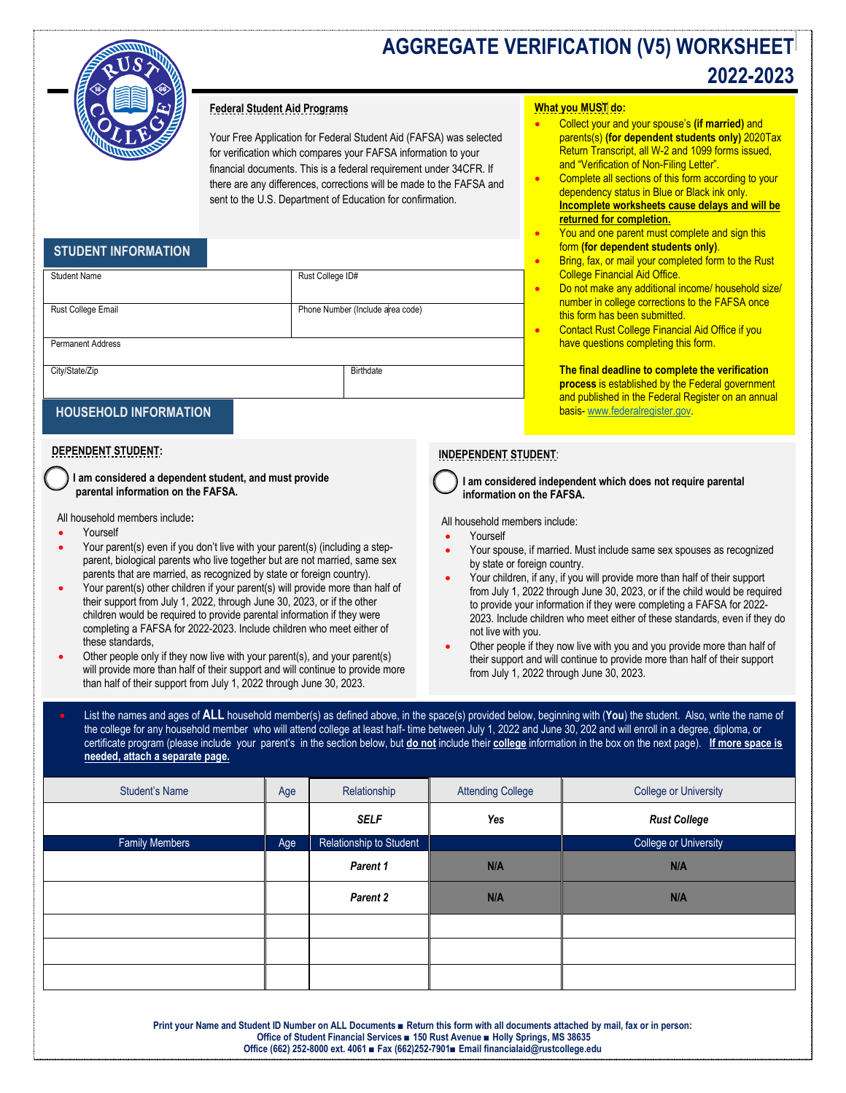

# **AGGREGATE VERIFICATION (V5) WORKSHEET 2022-2023**

### **Federal Student Aid Programs**

Your Free Application for Federal Student Aid (FAFSA) was selected for verification which compares your FAFSA information to your financial documents. This is a federal requirement under 34CFR. If there are any differences, corrections will be made to the FAFSA and sent to the U.S. Department of Education for confirmation.

## **STUDENT INFORMATION**

| <b>Student Name</b>      | Rust College ID#                 |
|--------------------------|----------------------------------|
|                          |                                  |
| Rust College Email       | Phone Number (Include area code) |
|                          |                                  |
| <b>Permanent Address</b> |                                  |
| City/State/Zip           | Birthdate                        |
|                          |                                  |

## **HOUSEHOLD INFORMATION**

### **DEPENDENT STUDENT:**

 **I am considered a dependent student, and must provide parental information on the FAFSA.** 

All household members include**:**

- Yourself
- Your parent(s) even if you don't live with your parent(s) (including a stepparent, biological parents who live together but are not married, same sex parents that are married, as recognized by state or foreign country).
- Your parent(s) other children if your parent(s) will provide more than half of their support from July 1, 2022, through June 30, 2023, or if the other children would be required to provide parental information if they were completing a FAFSA for 2022-2023. Include children who meet either of these standards,
- Other people only if they now live with your parent(s), and your parent(s) will provide more than half of their support and will continue to provide more than half of their support from July 1, 2022 through June 30, 2023.

#### **What you MUST do:**

- Collect your and your spouse's **(if married)** and parents(s) **(for dependent students only)** 2020Tax Return Transcript, all W-2 and 1099 forms issued, and "Verification of Non-Filing Letter".
- Complete all sections of this form according to your dependency status in Blue or Black ink only. **Incomplete worksheets cause delays and will be returned for completion.**
- You and one parent must complete and sign this form **(for dependent students only)**.
- Bring, fax, or mail your completed form to the Rust College Financial Aid Office.
- Do not make any additional income/ household size/ number in college corrections to the FAFSA once this form has been submitted.
- Contact Rust College Financial Aid Office if you have questions completing this form.

**The final deadline to complete the verification process** is established by the Federal government and published in the Federal Register on an annual basis- [www.federalregister.gov.](http://www.federalregister.gov/)

### **INDEPENDENT STUDENT**:

 **I am considered independent which does not require parental information on the FAFSA.**

All household members include:

- Yourself
- Your spouse, if married. Must include same sex spouses as recognized by state or foreign country.
- Your children, if any, if you will provide more than half of their support from July 1, 2022 through June 30, 2023, or if the child would be required to provide your information if they were completing a FAFSA for 2022- 2023. Include children who meet either of these standards, even if they do not live with you.
- Other people if they now live with you and you provide more than half of their support and will continue to provide more than half of their support from July 1, 2022 through June 30, 2023.

• List the names and ages of **ALL** household member(s) as defined above, in the space(s) provided below, beginning with (**You**) the student. Also, write the name of the college for any household member who will attend college at least half- time between July 1, 2022 and June 30, 202 and will enroll in a degree, diploma, or certificate program (please include your parent's in the section below, but **do not** include their **college** information in the box on the next page). **If more space is needed, attach a separate page.**

| <b>Student's Name</b> | Age | Relationship            | <b>Attending College</b> | <b>College or University</b> |
|-----------------------|-----|-------------------------|--------------------------|------------------------------|
|                       |     | <b>SELF</b>             | Yes                      | <b>Rust College</b>          |
| <b>Family Members</b> | Age | Relationship to Student |                          | <b>College or University</b> |
|                       |     | Parent 1                | N/A                      | N/A                          |
|                       |     | Parent 2                | N/A                      | N/A                          |
|                       |     |                         |                          |                              |
|                       |     |                         |                          |                              |
|                       |     |                         |                          |                              |

**Print your Name and Student ID Number on ALL Documents ■ Return this form with all documents attached by mail, fax or in person: Office of Student Financial Services ■ 150 Rust Avenue ■ Holly Springs, MS 38635 Office (662) 252-8000 ext. 4061 ■ Fax (662)252-7901■ Email financialaid@rustcollege.edu**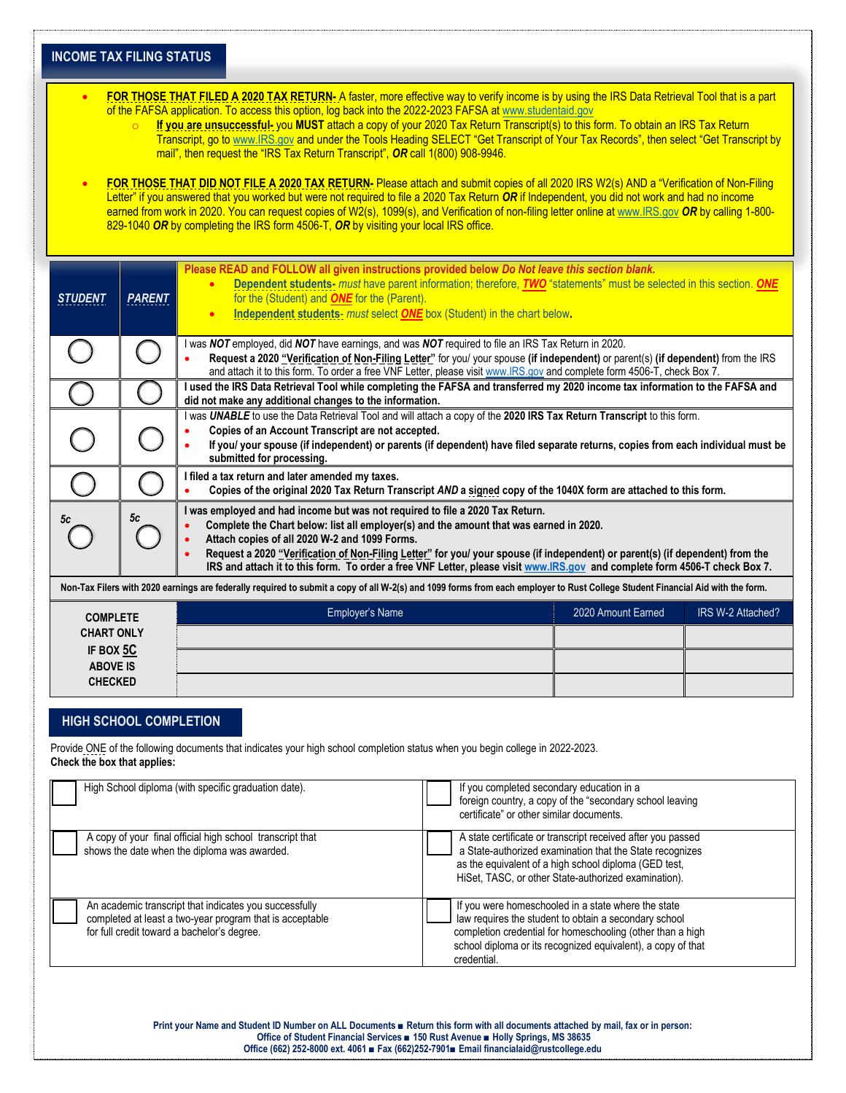| <b>INCOME TAX FILING STATUS</b>                                                                                                                                                                                                                                                                                                                                                                                                                                                                                                                                                                                                                                                                                                                                                                                                                                                                                                                                                                                                                                                                                                                                                         |               |                                                                                                                                                                                                                                                                                                                                                                                                                                                                                         |                    |                   |  |
|-----------------------------------------------------------------------------------------------------------------------------------------------------------------------------------------------------------------------------------------------------------------------------------------------------------------------------------------------------------------------------------------------------------------------------------------------------------------------------------------------------------------------------------------------------------------------------------------------------------------------------------------------------------------------------------------------------------------------------------------------------------------------------------------------------------------------------------------------------------------------------------------------------------------------------------------------------------------------------------------------------------------------------------------------------------------------------------------------------------------------------------------------------------------------------------------|---------------|-----------------------------------------------------------------------------------------------------------------------------------------------------------------------------------------------------------------------------------------------------------------------------------------------------------------------------------------------------------------------------------------------------------------------------------------------------------------------------------------|--------------------|-------------------|--|
| FOR THOSE THAT FILED A 2020 TAX RETURN- A faster, more effective way to verify income is by using the IRS Data Retrieval Tool that is a part<br>$\bullet$<br>of the FAFSA application. To access this option, log back into the 2022-2023 FAFSA at www.studentaid.gov<br>If you are unsuccessful- you MUST attach a copy of your 2020 Tax Return Transcript(s) to this form. To obtain an IRS Tax Return<br>$\circ$<br>Transcript, go to www.IRS.gov and under the Tools Heading SELECT "Get Transcript of Your Tax Records", then select "Get Transcript by<br>mail", then request the "IRS Tax Return Transcript", OR call 1(800) 908-9946.<br>FOR THOSE THAT DID NOT FILE A 2020 TAX RETURN-Please attach and submit copies of all 2020 IRS W2(s) AND a "Verification of Non-Filing<br>Letter" if you answered that you worked but were not required to file a 2020 Tax Return OR if Independent, you did not work and had no income<br>earned from work in 2020. You can request copies of W2(s), 1099(s), and Verification of non-filing letter online at www.IRS.gov OR by calling 1-800-<br>829-1040 OR by completing the IRS form 4506-T, OR by visiting your local IRS office. |               |                                                                                                                                                                                                                                                                                                                                                                                                                                                                                         |                    |                   |  |
| <b>STUDENT</b>                                                                                                                                                                                                                                                                                                                                                                                                                                                                                                                                                                                                                                                                                                                                                                                                                                                                                                                                                                                                                                                                                                                                                                          | <b>PARENT</b> | Please READ and FOLLOW all given instructions provided below Do Not leave this section blank.<br>Dependent students- must have parent information; therefore, TWO "statements" must be selected in this section. ONE<br>for the (Student) and <b>ONE</b> for the (Parent).<br>Independent students- must select ONE box (Student) in the chart below.<br>$\bullet$                                                                                                                      |                    |                   |  |
|                                                                                                                                                                                                                                                                                                                                                                                                                                                                                                                                                                                                                                                                                                                                                                                                                                                                                                                                                                                                                                                                                                                                                                                         |               | I was NOT employed, did NOT have earnings, and was NOT required to file an IRS Tax Return in 2020.<br>Request a 2020 "Verification of Non-Filing Letter" for you/ your spouse (if independent) or parent(s) (if dependent) from the IRS<br>and attach it to this form. To order a free VNF Letter, please visit www.IRS.gov and complete form 4506-T, check Box 7.                                                                                                                      |                    |                   |  |
|                                                                                                                                                                                                                                                                                                                                                                                                                                                                                                                                                                                                                                                                                                                                                                                                                                                                                                                                                                                                                                                                                                                                                                                         |               | I used the IRS Data Retrieval Tool while completing the FAFSA and transferred my 2020 income tax information to the FAFSA and<br>did not make any additional changes to the information.                                                                                                                                                                                                                                                                                                |                    |                   |  |
|                                                                                                                                                                                                                                                                                                                                                                                                                                                                                                                                                                                                                                                                                                                                                                                                                                                                                                                                                                                                                                                                                                                                                                                         |               | I was UNABLE to use the Data Retrieval Tool and will attach a copy of the 2020 IRS Tax Return Transcript to this form.<br>Copies of an Account Transcript are not accepted.<br>If you/ your spouse (if independent) or parents (if dependent) have filed separate returns, copies from each individual must be<br>submitted for processing.                                                                                                                                             |                    |                   |  |
|                                                                                                                                                                                                                                                                                                                                                                                                                                                                                                                                                                                                                                                                                                                                                                                                                                                                                                                                                                                                                                                                                                                                                                                         |               | I filed a tax return and later amended my taxes.<br>Copies of the original 2020 Tax Return Transcript AND a signed copy of the 1040X form are attached to this form.                                                                                                                                                                                                                                                                                                                    |                    |                   |  |
| 5c                                                                                                                                                                                                                                                                                                                                                                                                                                                                                                                                                                                                                                                                                                                                                                                                                                                                                                                                                                                                                                                                                                                                                                                      | 5c            | I was employed and had income but was not required to file a 2020 Tax Return.<br>Complete the Chart below: list all employer(s) and the amount that was earned in 2020.<br>Attach copies of all 2020 W-2 and 1099 Forms.<br>Request a 2020 "Verification of Non-Filing Letter" for you/ your spouse (if independent) or parent(s) (if dependent) from the<br>IRS and attach it to this form. To order a free VNF Letter, please visit www.IRS.gov and complete form 4506-T check Box 7. |                    |                   |  |
| Non-Tax Filers with 2020 earnings are federally required to submit a copy of all W-2(s) and 1099 forms from each employer to Rust College Student Financial Aid with the form.                                                                                                                                                                                                                                                                                                                                                                                                                                                                                                                                                                                                                                                                                                                                                                                                                                                                                                                                                                                                          |               |                                                                                                                                                                                                                                                                                                                                                                                                                                                                                         |                    |                   |  |
| <b>COMPLETE</b><br><b>CHART ONLY</b><br>IF BOX 5C                                                                                                                                                                                                                                                                                                                                                                                                                                                                                                                                                                                                                                                                                                                                                                                                                                                                                                                                                                                                                                                                                                                                       |               | Employer's Name                                                                                                                                                                                                                                                                                                                                                                                                                                                                         | 2020 Amount Earned | IRS W-2 Attached? |  |
| <b>ABOVE IS</b><br><b>CHECKED</b>                                                                                                                                                                                                                                                                                                                                                                                                                                                                                                                                                                                                                                                                                                                                                                                                                                                                                                                                                                                                                                                                                                                                                       |               |                                                                                                                                                                                                                                                                                                                                                                                                                                                                                         |                    |                   |  |

## **HIGH SCHOOL COMPLETION**

Provide ONE of the following documents that indicates your high school completion status when you begin college in 2022-2023. **Check the box that applies:**

| High School diploma (with specific graduation date).                                                                                                              | If you completed secondary education in a<br>foreign country, a copy of the "secondary school leaving<br>certificate" or other similar documents.                                                                                                         |
|-------------------------------------------------------------------------------------------------------------------------------------------------------------------|-----------------------------------------------------------------------------------------------------------------------------------------------------------------------------------------------------------------------------------------------------------|
| A copy of your final official high school transcript that<br>shows the date when the diploma was awarded.                                                         | A state certificate or transcript received after you passed<br>a State-authorized examination that the State recognizes<br>as the equivalent of a high school diploma (GED test,<br>HiSet, TASC, or other State-authorized examination).                  |
| An academic transcript that indicates you successfully<br>completed at least a two-year program that is acceptable<br>for full credit toward a bachelor's degree. | If you were homeschooled in a state where the state<br>law requires the student to obtain a secondary school<br>completion credential for homeschooling (other than a high<br>school diploma or its recognized equivalent), a copy of that<br>credential. |

**Print your Name and Student ID Number on ALL Documents ■ Return this form with all documents attached by mail, fax or in person: Office of Student Financial Services ■ 150 Rust Avenue ■ Holly Springs, MS 38635 Office (662) 252-8000 ext. 4061 ■ Fax (662)252-7901■ Email financialaid@rustcollege.edu**